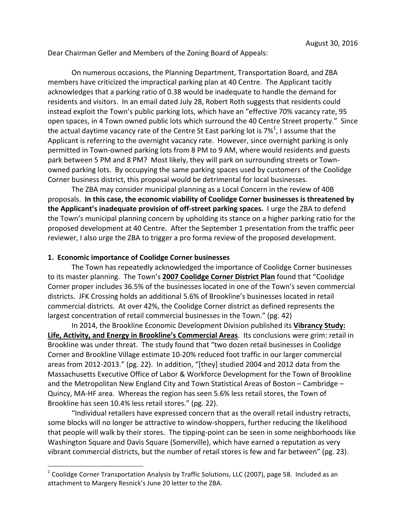Dear Chairman Geller and Members of the Zoning Board of Appeals:

On numerous occasions, the Planning Department, Transportation Board, and ZBA members have criticized the impractical parking plan at 40 Centre. The Applicant tacitly acknowledges that a parking ratio of 0.38 would be inadequate to handle the demand for residents and visitors. In an email dated July 28, Robert Roth suggests that residents could instead exploit the Town's public parking lots, which have an "effective 70% vacancy rate, 95 open spaces, in 4 Town owned public lots which surround the 40 Centre Street property." Since the actual daytime vacancy rate of the Centre St East parking lot is 7% $^1$ , I assume that the Applicant is referring to the overnight vacancy rate. However, since overnight parking is only permitted in Town-owned parking lots from 8 PM to 9 AM, where would residents and guests park between 5 PM and 8 PM? Most likely, they will park on surrounding streets or Townowned parking lots. By occupying the same parking spaces used by customers of the Coolidge Corner business district, this proposal would be detrimental for local businesses.

The ZBA may consider municipal planning as a Local Concern in the review of 40B proposals. In this case, the economic viability of Coolidge Corner businesses is threatened by **the Applicant's inadequate provision of off-street parking spaces.** I urge the ZBA to defend the Town's municipal planning concern by upholding its stance on a higher parking ratio for the proposed development at 40 Centre. After the September 1 presentation from the traffic peer reviewer, I also urge the ZBA to trigger a pro forma review of the proposed development.

#### **1. Economic importance of Coolidge Corner businesses**

 

The Town has repeatedly acknowledged the importance of Coolidge Corner businesses to its master planning. The Town's 2007 Coolidge Corner District Plan found that "Coolidge Corner proper includes 36.5% of the businesses located in one of the Town's seven commercial districts. JFK Crossing holds an additional 5.6% of Brookline's businesses located in retail commercial districts. At over 42%, the Coolidge Corner district as defined represents the largest concentration of retail commercial businesses in the Town." (pg. 42)

In 2014, the Brookline Economic Development Division published its Vibrancy Study: Life, Activity, and Energy in Brookline's Commercial Areas. Its conclusions were grim: retail in Brookline was under threat. The study found that "two dozen retail businesses in Coolidge Corner and Brookline Village estimate 10-20% reduced foot traffic in our larger commercial areas from 2012-2013." (pg. 22). In addition, "[they] studied 2004 and 2012 data from the Massachusetts Executive Office of Labor & Workforce Development for the Town of Brookline and the Metropolitan New England City and Town Statistical Areas of Boston – Cambridge – Quincy, MA-HF area. Whereas the region has seen 5.6% less retail stores, the Town of Brookline has seen 10.4% less retail stores." (pg. 22).

"Individual retailers have expressed concern that as the overall retail industry retracts, some blocks will no longer be attractive to window-shoppers, further reducing the likelihood that people will walk by their stores. The tipping-point can be seen in some neighborhoods like Washington Square and Davis Square (Somerville), which have earned a reputation as very vibrant commercial districts, but the number of retail stores is few and far between" (pg. 23).

 $1$  Coolidge Corner Transportation Analysis by Traffic Solutions, LLC (2007), page 58. Included as an attachment to Margery Resnick's June 20 letter to the ZBA.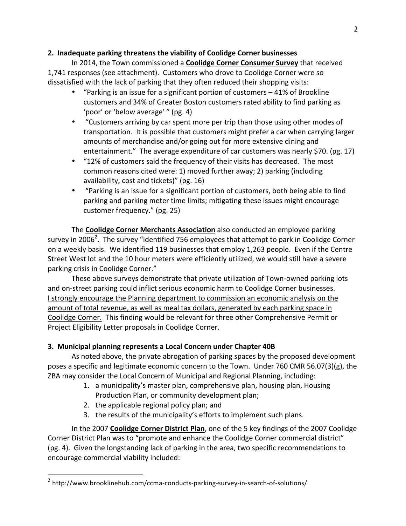## **2. Inadequate parking threatens the viability of Coolidge Corner businesses**

In 2014, the Town commissioned a **Coolidge Corner Consumer Survey** that received 1,741 responses (see attachment). Customers who drove to Coolidge Corner were so dissatisfied with the lack of parking that they often reduced their shopping visits:

- "Parking is an issue for a significant portion of customers  $-41%$  of Brookline customers and 34% of Greater Boston customers rated ability to find parking as 'poor' or 'below average' " (pg. 4)
- "Customers arriving by car spent more per trip than those using other modes of transportation. It is possible that customers might prefer a car when carrying larger amounts of merchandise and/or going out for more extensive dining and entertainment." The average expenditure of car customers was nearly \$70. (pg. 17)
- "12% of customers said the frequency of their visits has decreased. The most common reasons cited were: 1) moved further away; 2) parking (including availability, cost and tickets)" (pg. 16)
- "Parking is an issue for a significant portion of customers, both being able to find parking and parking meter time limits; mitigating these issues might encourage customer frequency." (pg. 25)

The **Coolidge Corner Merchants Association** also conducted an employee parking survey in 2006<sup>2</sup>. The survey "identified 756 employees that attempt to park in Coolidge Corner on a weekly basis. We identified 119 businesses that employ 1,263 people. Even if the Centre Street West lot and the 10 hour meters were efficiently utilized, we would still have a severe parking crisis in Coolidge Corner."

These above surveys demonstrate that private utilization of Town-owned parking lots and on-street parking could inflict serious economic harm to Coolidge Corner businesses. I strongly encourage the Planning department to commission an economic analysis on the amount of total revenue, as well as meal tax dollars, generated by each parking space in Coolidge Corner. This finding would be relevant for three other Comprehensive Permit or Project Eligibility Letter proposals in Coolidge Corner.

## **3. Municipal planning represents a Local Concern under Chapter 40B**

As noted above, the private abrogation of parking spaces by the proposed development poses a specific and legitimate economic concern to the Town. Under 760 CMR 56.07(3)(g), the ZBA may consider the Local Concern of Municipal and Regional Planning, including:

- 1. a municipality's master plan, comprehensive plan, housing plan, Housing Production Plan, or community development plan;
- 2. the applicable regional policy plan; and

 

3. the results of the municipality's efforts to implement such plans.

In the 2007 **Coolidge Corner District Plan**, one of the 5 key findings of the 2007 Coolidge Corner District Plan was to "promote and enhance the Coolidge Corner commercial district" (pg. 4). Given the longstanding lack of parking in the area, two specific recommendations to encourage commercial viability included:

<sup>&</sup>lt;sup>2</sup> http://www.brooklinehub.com/ccma-conducts-parking-survey-in-search-of-solutions/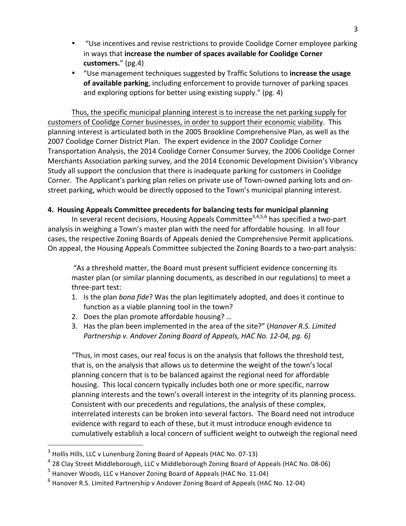- "Use incentives and revise restrictions to provide Coolidge Corner employee parking in ways that increase the number of spaces available for Coolidge Corner **customers.**" (pg.4)
- "Use management techniques suggested by Traffic Solutions to **increase the usage** of available parking, including enforcement to provide turnover of parking spaces and exploring options for better using existing supply." (pg. 4)

Thus, the specific municipal planning interest is to increase the net parking supply for customers of Coolidge Corner businesses, in order to support their economic viability. This planning interest is articulated both in the 2005 Brookline Comprehensive Plan, as well as the 2007 Coolidge Corner District Plan. The expert evidence in the 2007 Coolidge Corner Transportation Analysis, the 2014 Coolidge Corner Consumer Survey, the 2006 Coolidge Corner Merchants Association parking survey, and the 2014 Economic Development Division's Vibrancy Study all support the conclusion that there is inadequate parking for customers in Coolidge Corner. The Applicant's parking plan relies on private use of Town-owned parking lots and onstreet parking, which would be directly opposed to the Town's municipal planning interest.

## **4. Housing Appeals Committee precedents for balancing tests for municipal planning**

In several recent decisions, Housing Appeals Committee<sup>3,4,5,6</sup> has specified a two-part analysis in weighing a Town's master plan with the need for affordable housing. In all four cases, the respective Zoning Boards of Appeals denied the Comprehensive Permit applications. On appeal, the Housing Appeals Committee subjected the Zoning Boards to a two-part analysis:

"As a threshold matter, the Board must present sufficient evidence concerning its master plan (or similar planning documents, as described in our regulations) to meet a three-part test:

- 1. Is the plan *bona fide*? Was the plan legitimately adopted, and does it continue to function as a viable planning tool in the town?
- 2. Does the plan promote affordable housing? ...
- 3. Has the plan been implemented in the area of the site?" (*Hanover R.S. Limited* Partnership v. Andover Zoning Board of Appeals, HAC No. 12-04, pg. 6)

"Thus, in most cases, our real focus is on the analysis that follows the threshold test, that is, on the analysis that allows us to determine the weight of the town's local planning concern that is to be balanced against the regional need for affordable housing. This local concern typically includes both one or more specific, narrow planning interests and the town's overall interest in the integrity of its planning process. Consistent with our precedents and regulations, the analysis of these complex, interrelated interests can be broken into several factors. The Board need not introduce evidence with regard to each of these, but it must introduce enough evidence to cumulatively establish a local concern of sufficient weight to outweigh the regional need

 

 $3$  Hollis Hills, LLC v Lunenburg Zoning Board of Appeals (HAC No. 07-13)

 $4$  28 Clay Street Middleborough, LLC v Middleborough Zoning Board of Appeals (HAC No. 08-06)

 $<sup>5</sup>$  Hanover Woods, LLC v Hanover Zoning Board of Appeals (HAC No. 11-04)</sup>

 $6$  Hanover R.S. Limited Partnership v Andover Zoning Board of Appeals (HAC No. 12-04)